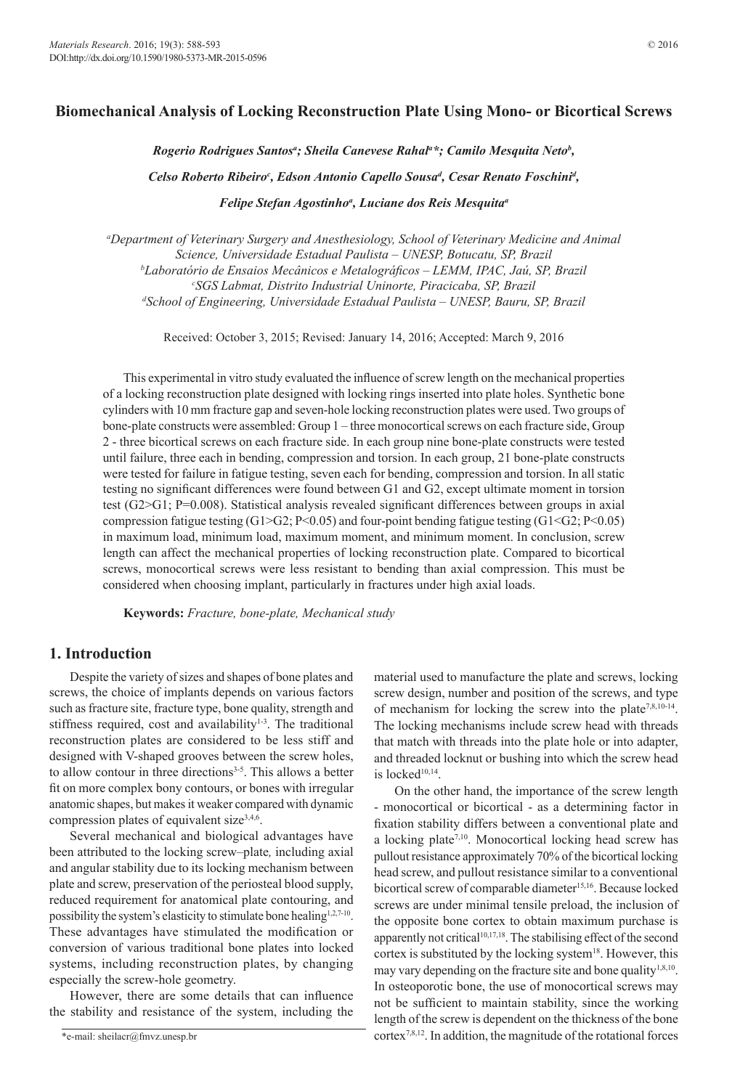# **Biomechanical Analysis of Locking Reconstruction Plate Using Mono- or Bicortical Screws**

*Rogerio Rodrigues Santosa ; Sheila Canevese Rahala \*; Camilo Mesquita Netob ,* 

Celso Roberto Ribeiro<sup>c</sup>, Edson Antonio Capello Sousa<sup>a</sup>, Cesar Renato Foschini<sup>a</sup>,

*Felipe Stefan Agostinhoa , Luciane dos Reis Mesquitaa*

*a Department of Veterinary Surgery and Anesthesiology, School of Veterinary Medicine and Animal Science, Universidade Estadual Paulista – UNESP, Botucatu, SP, Brazil b Laboratório de Ensaios Mecânicos e Metalográficos – LEMM, IPAC, Jaú, SP, Brazil c SGS Labmat, Distrito Industrial Uninorte, Piracicaba, SP, Brazil d School of Engineering, Universidade Estadual Paulista – UNESP, Bauru, SP, Brazil*

Received: October 3, 2015; Revised: January 14, 2016; Accepted: March 9, 2016

This experimental in vitro study evaluated the influence of screw length on the mechanical properties of a locking reconstruction plate designed with locking rings inserted into plate holes. Synthetic bone cylinders with 10 mm fracture gap and seven-hole locking reconstruction plates were used. Two groups of bone-plate constructs were assembled: Group 1 – three monocortical screws on each fracture side, Group 2 - three bicortical screws on each fracture side. In each group nine bone-plate constructs were tested until failure, three each in bending, compression and torsion. In each group, 21 bone-plate constructs were tested for failure in fatigue testing, seven each for bending, compression and torsion. In all static testing no significant differences were found between G1 and G2, except ultimate moment in torsion test (G2>G1; P=0.008). Statistical analysis revealed significant differences between groups in axial compression fatigue testing  $(G1>G2; P<0.05)$  and four-point bending fatigue testing  $(G1$ in maximum load, minimum load, maximum moment, and minimum moment. In conclusion, screw length can affect the mechanical properties of locking reconstruction plate. Compared to bicortical screws, monocortical screws were less resistant to bending than axial compression. This must be considered when choosing implant, particularly in fractures under high axial loads.

**Keywords:** *Fracture, bone-plate, Mechanical study*

## **1. Introduction**

Despite the variety of sizes and shapes of bone plates and screws, the choice of implants depends on various factors such as fracture site, fracture type, bone quality, strength and stiffness required, cost and availability<sup>1-3</sup>. The traditional reconstruction plates are considered to be less stiff and designed with V-shaped grooves between the screw holes, to allow contour in three directions<sup>3-5</sup>. This allows a better fit on more complex bony contours, or bones with irregular anatomic shapes, but makes it weaker compared with dynamic compression plates of equivalent size<sup>3,4,6</sup>.

Several mechanical and biological advantages have been attributed to the locking screw*–*plate*,* including axial and angular stability due to its locking mechanism between plate and screw, preservation of the periosteal blood supply, reduced requirement for anatomical plate contouring, and possibility the system's elasticity to stimulate bone healing<sup>1,2,7-10</sup>. These advantages have stimulated the modification or conversion of various traditional bone plates into locked systems, including reconstruction plates, by changing especially the screw-hole geometry.

However, there are some details that can influence the stability and resistance of the system, including the

material used to manufacture the plate and screws, locking screw design, number and position of the screws, and type of mechanism for locking the screw into the plate7,8,10-14. The locking mechanisms include screw head with threads that match with threads into the plate hole or into adapter, and threaded locknut or bushing into which the screw head is locked<sup>10,14</sup>.

On the other hand, the importance of the screw length - monocortical or bicortical - as a determining factor in fixation stability differs between a conventional plate and a locking plate<sup>7,10</sup>. Monocortical locking head screw has pullout resistance approximately 70% of the bicortical locking head screw, and pullout resistance similar to a conventional bicortical screw of comparable diameter<sup>15,16</sup>. Because locked screws are under minimal tensile preload, the inclusion of the opposite bone cortex to obtain maximum purchase is apparently not critical<sup>10,17,18</sup>. The stabilising effect of the second cortex is substituted by the locking system<sup>18</sup>. However, this may vary depending on the fracture site and bone quality<sup>1,8,10</sup>. In osteoporotic bone, the use of monocortical screws may not be sufficient to maintain stability, since the working length of the screw is dependent on the thickness of the bone cortex7,8,12. In addition, the magnitude of the rotational forces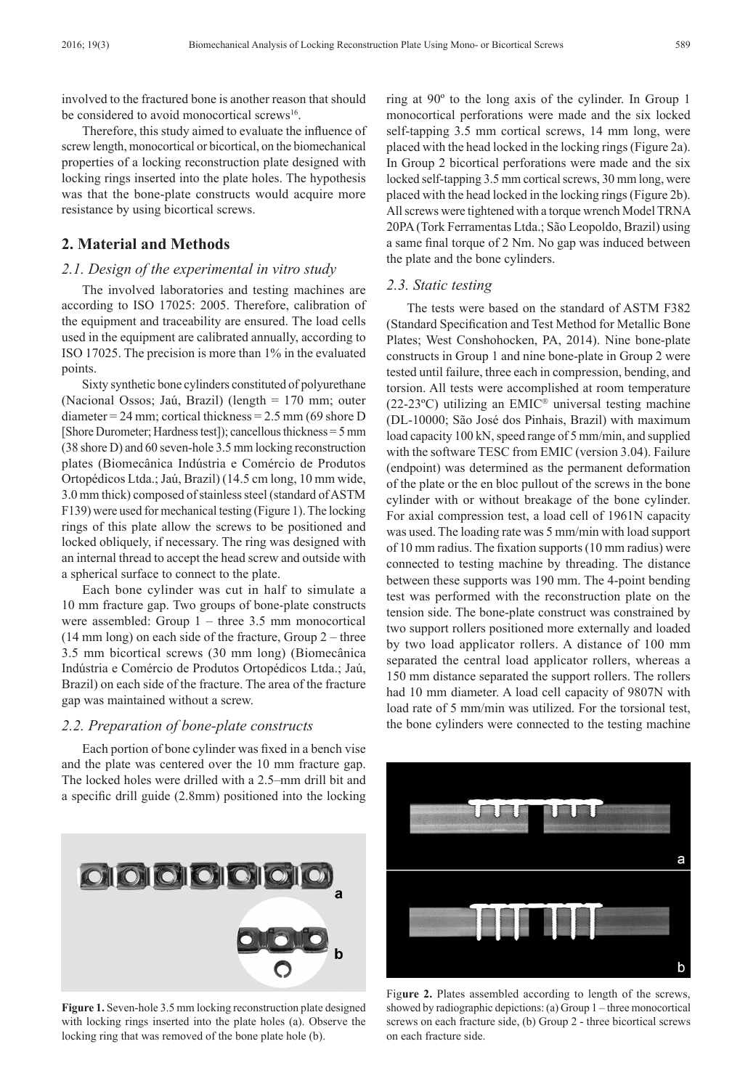involved to the fractured bone is another reason that should be considered to avoid monocortical screws<sup>16</sup>.

Therefore, this study aimed to evaluate the influence of screw length, monocortical or bicortical, on the biomechanical properties of a locking reconstruction plate designed with locking rings inserted into the plate holes. The hypothesis was that the bone-plate constructs would acquire more resistance by using bicortical screws.

# **2. Material and Methods**

#### *2.1. Design of the experimental in vitro study*

The involved laboratories and testing machines are according to ISO 17025: 2005. Therefore, calibration of the equipment and traceability are ensured. The load cells used in the equipment are calibrated annually, according to ISO 17025. The precision is more than 1% in the evaluated points.

Sixty synthetic bone cylinders constituted of polyurethane (Nacional Ossos; Jaú, Brazil) (length = 170 mm; outer diameter =  $24$  mm; cortical thickness =  $2.5$  mm (69 shore D) [Shore Durometer: Hardness test]); cancellous thickness  $= 5$  mm (38 shore D) and 60 seven-hole 3.5 mm locking reconstruction plates (Biomecânica Indústria e Comércio de Produtos Ortopédicos Ltda.; Jaú, Brazil) (14.5 cm long, 10 mm wide, 3.0 mm thick) composed of stainless steel (standard of ASTM F139) were used for mechanical testing (Figure 1). The locking rings of this plate allow the screws to be positioned and locked obliquely, if necessary. The ring was designed with an internal thread to accept the head screw and outside with a spherical surface to connect to the plate.

Each bone cylinder was cut in half to simulate a 10 mm fracture gap. Two groups of bone-plate constructs were assembled: Group 1 – three 3.5 mm monocortical (14 mm long) on each side of the fracture, Group 2 – three 3.5 mm bicortical screws (30 mm long) (Biomecânica Indústria e Comércio de Produtos Ortopédicos Ltda.; Jaú, Brazil) on each side of the fracture. The area of the fracture gap was maintained without a screw.

#### *2.2. Preparation of bone-plate constructs*

Each portion of bone cylinder was fixed in a bench vise and the plate was centered over the 10 mm fracture gap. The locked holes were drilled with a 2.5–mm drill bit and a specific drill guide (2.8mm) positioned into the locking

**OIO OIO OIO** 

**Figure 1.** Seven-hole 3.5 mm locking reconstruction plate designed with locking rings inserted into the plate holes (a). Observe the locking ring that was removed of the bone plate hole (b).

ring at 90º to the long axis of the cylinder. In Group 1 monocortical perforations were made and the six locked self-tapping 3.5 mm cortical screws, 14 mm long, were placed with the head locked in the locking rings (Figure 2a). In Group 2 bicortical perforations were made and the six locked self-tapping 3.5 mm cortical screws, 30 mm long, were placed with the head locked in the locking rings (Figure 2b). All screws were tightened with a torque wrench Model TRNA 20PA (Tork Ferramentas Ltda.; São Leopoldo, Brazil) using a same final torque of 2 Nm. No gap was induced between the plate and the bone cylinders.

#### *2.3. Static testing*

The tests were based on the standard of ASTM F382 (Standard Specification and Test Method for Metallic Bone Plates; West Conshohocken, PA, 2014). Nine bone-plate constructs in Group 1 and nine bone-plate in Group 2 were tested until failure, three each in compression, bending, and torsion. All tests were accomplished at room temperature (22-23 $^{\circ}$ C) utilizing an EMIC<sup>®</sup> universal testing machine (DL-10000; São José dos Pinhais, Brazil) with maximum load capacity 100 kN, speed range of 5 mm/min, and supplied with the software TESC from EMIC (version 3.04). Failure (endpoint) was determined as the permanent deformation of the plate or the en bloc pullout of the screws in the bone cylinder with or without breakage of the bone cylinder. For axial compression test, a load cell of 1961N capacity was used. The loading rate was 5 mm/min with load support of 10 mm radius. The fixation supports (10 mm radius) were connected to testing machine by threading. The distance between these supports was 190 mm. The 4-point bending test was performed with the reconstruction plate on the tension side. The bone-plate construct was constrained by two support rollers positioned more externally and loaded by two load applicator rollers. A distance of 100 mm separated the central load applicator rollers, whereas a 150 mm distance separated the support rollers. The rollers had 10 mm diameter. A load cell capacity of 9807N with load rate of 5 mm/min was utilized. For the torsional test, the bone cylinders were connected to the testing machine



Figure 2. Plates assembled according to length of the screws, showed by radiographic depictions: (a) Group 1 – three monocortical screws on each fracture side, (b) Group 2 - three bicortical screws on each fracture side.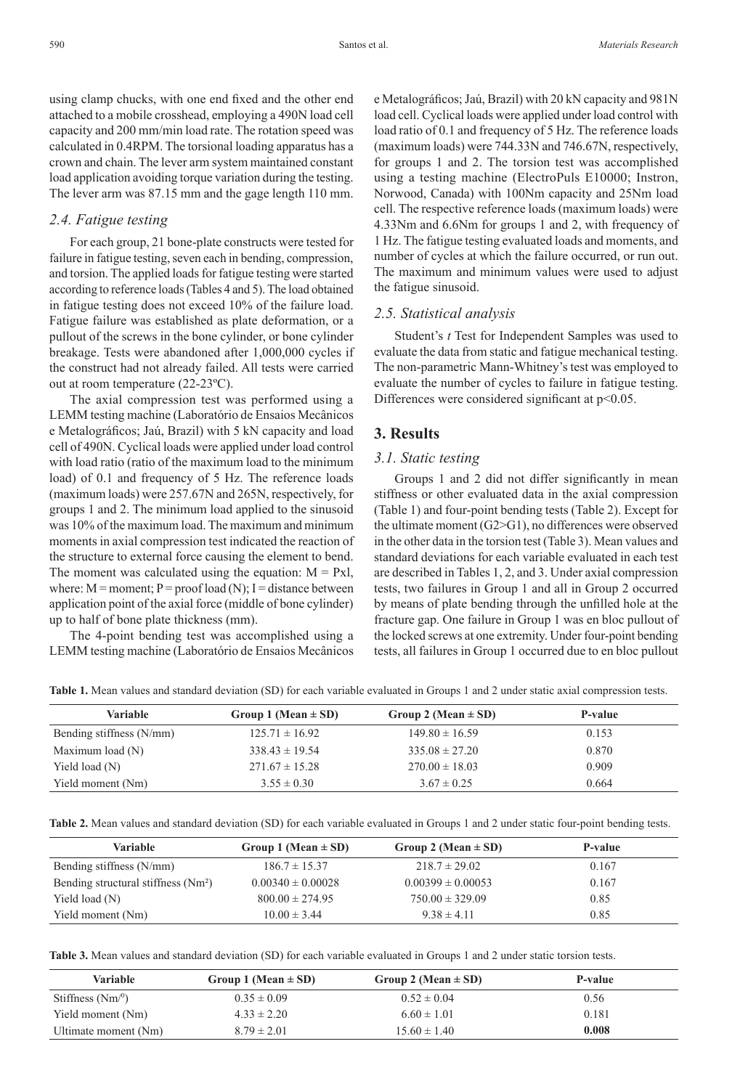using clamp chucks, with one end fixed and the other end attached to a mobile crosshead, employing a 490N load cell capacity and 200 mm/min load rate. The rotation speed was calculated in 0.4RPM. The torsional loading apparatus has a crown and chain. The lever arm system maintained constant load application avoiding torque variation during the testing. The lever arm was 87.15 mm and the gage length 110 mm.

#### *2.4. Fatigue testing*

For each group, 21 bone-plate constructs were tested for failure in fatigue testing, seven each in bending, compression, and torsion. The applied loads for fatigue testing were started according to reference loads (Tables 4 and 5). The load obtained in fatigue testing does not exceed 10% of the failure load. Fatigue failure was established as plate deformation, or a pullout of the screws in the bone cylinder, or bone cylinder breakage. Tests were abandoned after 1,000,000 cycles if the construct had not already failed. All tests were carried out at room temperature (22-23ºC).

The axial compression test was performed using a LEMM testing machine (Laboratório de Ensaios Mecânicos e Metalográficos; Jaú, Brazil) with 5 kN capacity and load cell of 490N. Cyclical loads were applied under load control with load ratio (ratio of the maximum load to the minimum load) of 0.1 and frequency of 5 Hz. The reference loads (maximum loads) were 257.67N and 265N, respectively, for groups 1 and 2. The minimum load applied to the sinusoid was 10% of the maximum load. The maximum and minimum moments in axial compression test indicated the reaction of the structure to external force causing the element to bend. The moment was calculated using the equation:  $M = PxI$ , where:  $M =$  moment;  $P =$  proof load (N); I = distance between application point of the axial force (middle of bone cylinder) up to half of bone plate thickness (mm).

The 4-point bending test was accomplished using a LEMM testing machine (Laboratório de Ensaios Mecânicos e Metalográficos; Jaú, Brazil) with 20 kN capacity and 981N load cell. Cyclical loads were applied under load control with load ratio of 0.1 and frequency of 5 Hz. The reference loads (maximum loads) were 744.33N and 746.67N, respectively, for groups 1 and 2. The torsion test was accomplished using a testing machine (ElectroPuls E10000; Instron, Norwood, Canada) with 100Nm capacity and 25Nm load cell. The respective reference loads (maximum loads) were 4.33Nm and 6.6Nm for groups 1 and 2, with frequency of 1 Hz. The fatigue testing evaluated loads and moments, and number of cycles at which the failure occurred, or run out. The maximum and minimum values were used to adjust the fatigue sinusoid.

#### *2.5. Statistical analysis*

Student's *t* Test for Independent Samples was used to evaluate the data from static and fatigue mechanical testing. The non-parametric Mann-Whitney's test was employed to evaluate the number of cycles to failure in fatigue testing. Differences were considered significant at  $p<0.05$ .

## **3. Results**

### *3.1. Static testing*

Groups 1 and 2 did not differ significantly in mean stiffness or other evaluated data in the axial compression (Table 1) and four-point bending tests (Table 2). Except for the ultimate moment (G2>G1), no differences were observed in the other data in the torsion test (Table 3). Mean values and standard deviations for each variable evaluated in each test are described in Tables 1, 2, and 3. Under axial compression tests, two failures in Group 1 and all in Group 2 occurred by means of plate bending through the unfilled hole at the fracture gap. One failure in Group 1 was en bloc pullout of the locked screws at one extremity. Under four-point bending tests, all failures in Group 1 occurred due to en bloc pullout

**Table 1.** Mean values and standard deviation (SD) for each variable evaluated in Groups 1 and 2 under static axial compression tests.

| Variable                 | Group 1 (Mean $\pm$ SD) | Group 2 (Mean $\pm$ SD) | P-value |
|--------------------------|-------------------------|-------------------------|---------|
| Bending stiffness (N/mm) | $125.71 \pm 16.92$      | $149.80 \pm 16.59$      | 0.153   |
| Maximum load (N)         | $338.43 \pm 19.54$      | $335.08 \pm 27.20$      | 0.870   |
| Yield load $(N)$         | $271.67 \pm 15.28$      | $270.00 \pm 18.03$      | 0.909   |
| Yield moment (Nm)        | $3.55 \pm 0.30$         | $3.67 \pm 0.25$         | 0.664   |

**Table 2.** Mean values and standard deviation (SD) for each variable evaluated in Groups 1 and 2 under static four-point bending tests.

| <b>Variable</b>                                 | Group 1 (Mean $\pm$ SD) | Group 2 (Mean $\pm$ SD) | P-value |
|-------------------------------------------------|-------------------------|-------------------------|---------|
| Bending stiffness (N/mm)                        | $186.7 \pm 15.37$       | $218.7 \pm 29.02$       | 0.167   |
| Bending structural stiffness (Nm <sup>2</sup> ) | $0.00340 \pm 0.00028$   | $0.00399 \pm 0.00053$   | 0.167   |
| Yield load $(N)$                                | $800.00 \pm 274.95$     | $750.00 \pm 329.09$     | 0.85    |
| Yield moment (Nm)                               | $10.00 \pm 3.44$        | $9.38 \pm 4.11$         | 0.85    |

**Table 3.** Mean values and standard deviation (SD) for each variable evaluated in Groups 1 and 2 under static torsion tests.

| Variable             | Group 1 (Mean $\pm$ SD) | Group 2 (Mean $\pm$ SD) | P-value |
|----------------------|-------------------------|-------------------------|---------|
| Stiffness $(Nm)^0$   | $0.35 \pm 0.09$         | $0.52 \pm 0.04$         | 0.56    |
| Yield moment (Nm)    | $4.33 \pm 2.20$         | $6.60 \pm 1.01$         | 0.181   |
| Ultimate moment (Nm) | $8.79 \pm 2.01$         | $15.60 \pm 1.40$        | 0.008   |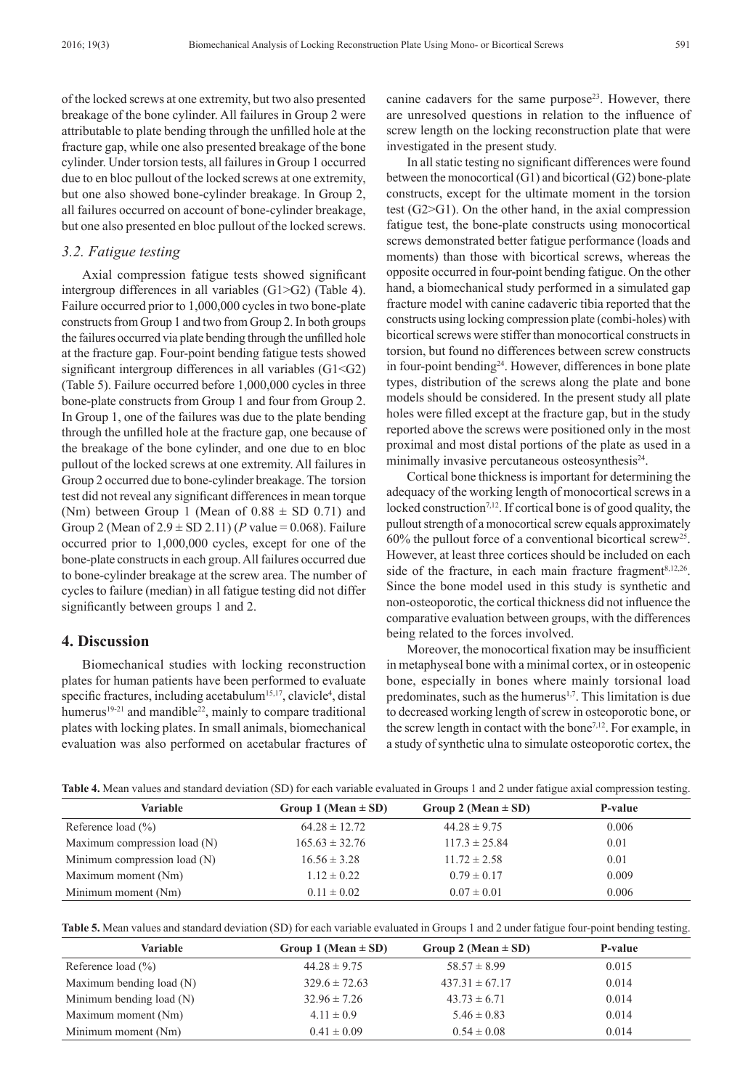of the locked screws at one extremity, but two also presented breakage of the bone cylinder. All failures in Group 2 were attributable to plate bending through the unfilled hole at the fracture gap, while one also presented breakage of the bone cylinder. Under torsion tests, all failures in Group 1 occurred due to en bloc pullout of the locked screws at one extremity, but one also showed bone-cylinder breakage. In Group 2, all failures occurred on account of bone-cylinder breakage, but one also presented en bloc pullout of the locked screws.

#### *3.2. Fatigue testing*

Axial compression fatigue tests showed significant intergroup differences in all variables (G1>G2) (Table 4). Failure occurred prior to 1,000,000 cycles in two bone-plate constructs from Group 1 and two from Group 2. In both groups the failures occurred via plate bending through the unfilled hole at the fracture gap. Four-point bending fatigue tests showed significant intergroup differences in all variables (G1<G2) (Table 5). Failure occurred before 1,000,000 cycles in three bone-plate constructs from Group 1 and four from Group 2. In Group 1, one of the failures was due to the plate bending through the unfilled hole at the fracture gap, one because of the breakage of the bone cylinder, and one due to en bloc pullout of the locked screws at one extremity. All failures in Group 2 occurred due to bone-cylinder breakage. The torsion test did not reveal any significant differences in mean torque (Nm) between Group 1 (Mean of  $0.88 \pm SD\ 0.71$ ) and Group 2 (Mean of  $2.9 \pm SD$  2.11) (*P* value = 0.068). Failure occurred prior to 1,000,000 cycles, except for one of the bone-plate constructs in each group. All failures occurred due to bone-cylinder breakage at the screw area. The number of cycles to failure (median) in all fatigue testing did not differ significantly between groups 1 and 2.

# **4. Discussion**

Biomechanical studies with locking reconstruction plates for human patients have been performed to evaluate specific fractures, including acetabulum<sup>15,17</sup>, clavicle<sup>4</sup>, distal humerus<sup>19-21</sup> and mandible<sup>22</sup>, mainly to compare traditional plates with locking plates. In small animals, biomechanical evaluation was also performed on acetabular fractures of

canine cadavers for the same purpose<sup>23</sup>. However, there are unresolved questions in relation to the influence of screw length on the locking reconstruction plate that were investigated in the present study.

In all static testing no significant differences were found between the monocortical (G1) and bicortical (G2) bone-plate constructs, except for the ultimate moment in the torsion test (G2>G1). On the other hand, in the axial compression fatigue test, the bone-plate constructs using monocortical screws demonstrated better fatigue performance (loads and moments) than those with bicortical screws, whereas the opposite occurred in four-point bending fatigue. On the other hand, a biomechanical study performed in a simulated gap fracture model with canine cadaveric tibia reported that the constructs using locking compression plate (combi-holes) with bicortical screws were stiffer than monocortical constructs in torsion, but found no differences between screw constructs in four-point bending24. However, differences in bone plate types, distribution of the screws along the plate and bone models should be considered. In the present study all plate holes were filled except at the fracture gap, but in the study reported above the screws were positioned only in the most proximal and most distal portions of the plate as used in a minimally invasive percutaneous osteosynthesis<sup>24</sup>.

Cortical bone thickness is important for determining the adequacy of the working length of monocortical screws in a locked construction<sup>7,12</sup>. If cortical bone is of good quality, the pullout strength of a monocortical screw equals approximately  $60\%$  the pullout force of a conventional bicortical screw<sup>25</sup>. However, at least three cortices should be included on each side of the fracture, in each main fracture fragment<sup>8,12,26</sup>. Since the bone model used in this study is synthetic and non-osteoporotic, the cortical thickness did not influence the comparative evaluation between groups, with the differences being related to the forces involved.

Moreover, the monocortical fixation may be insufficient in metaphyseal bone with a minimal cortex, or in osteopenic bone, especially in bones where mainly torsional load predominates, such as the humerus $1,7$ . This limitation is due to decreased working length of screw in osteoporotic bone, or the screw length in contact with the bone<sup>7,12</sup>. For example, in a study of synthetic ulna to simulate osteoporotic cortex, the

| Table 4. Mean values and standard deviation (SD) for each variable evaluated in Groups 1 and 2 under fatigue axial compression testing. |  |  |  |  |
|-----------------------------------------------------------------------------------------------------------------------------------------|--|--|--|--|
|-----------------------------------------------------------------------------------------------------------------------------------------|--|--|--|--|

| Variable                     | Group 1 (Mean $\pm$ SD) | Group 2 (Mean $\pm$ SD) | P-value |
|------------------------------|-------------------------|-------------------------|---------|
| Reference load $(\% )$       | $64.28 \pm 12.72$       | $44.28 \pm 9.75$        | 0.006   |
| Maximum compression load (N) | $165.63 \pm 32.76$      | $117.3 \pm 25.84$       | 0.01    |
| Minimum compression load (N) | $16.56 \pm 3.28$        | $11.72 \pm 2.58$        | 0.01    |
| Maximum moment (Nm)          | $1.12 \pm 0.22$         | $0.79 \pm 0.17$         | 0.009   |
| Minimum moment (Nm)          | $0.11 \pm 0.02$         | $0.07 \pm 0.01$         | 0.006   |

| Table 5. Mean values and standard deviation (SD) for each variable evaluated in Groups 1 and 2 under fatigue four-point bending testing. |  |  |  |
|------------------------------------------------------------------------------------------------------------------------------------------|--|--|--|
|------------------------------------------------------------------------------------------------------------------------------------------|--|--|--|

| Variable                 | Group 1 (Mean $\pm$ SD) | Group 2 (Mean $\pm$ SD) | P-value |
|--------------------------|-------------------------|-------------------------|---------|
| Reference load $(\% )$   | $44.28 \pm 9.75$        | $58.57 \pm 8.99$        | 0.015   |
| Maximum bending load (N) | $329.6 \pm 72.63$       | $437.31 \pm 67.17$      | 0.014   |
| Minimum bending load (N) | $32.96 \pm 7.26$        | $43.73 \pm 6.71$        | 0.014   |
| Maximum moment (Nm)      | $4.11 \pm 0.9$          | $5.46 \pm 0.83$         | 0.014   |
| Minimum moment (Nm)      | $0.41 \pm 0.09$         | $0.54 \pm 0.08$         | 0.014   |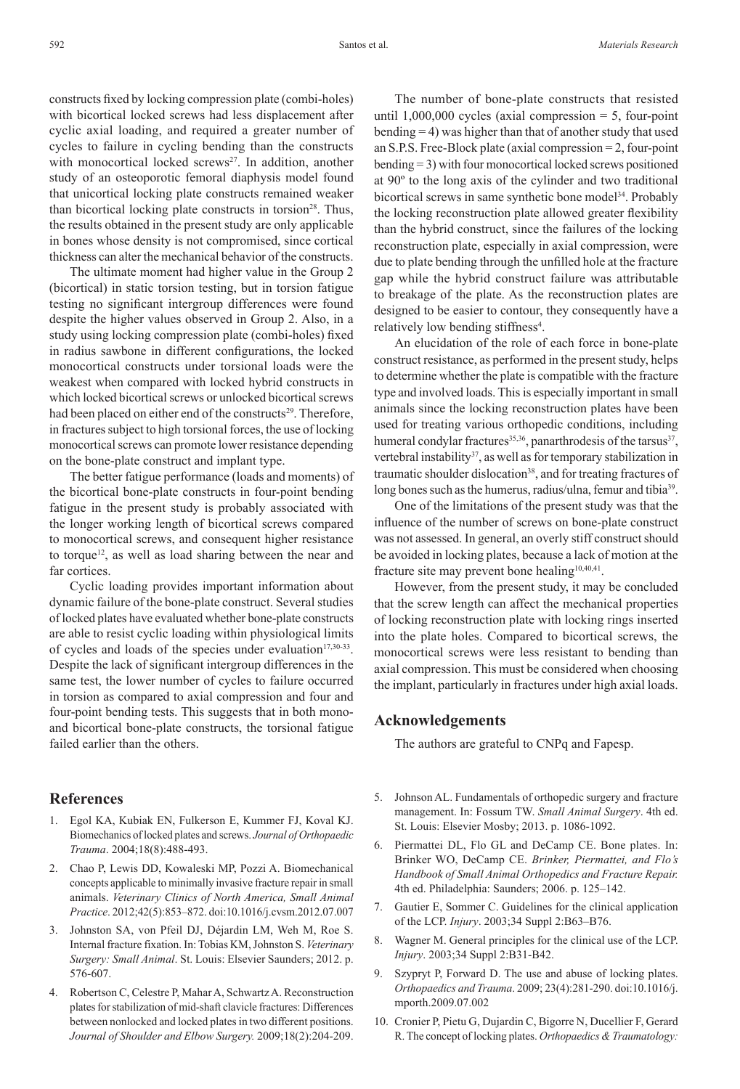constructs fixed by locking compression plate (combi‑holes) with bicortical locked screws had less displacement after cyclic axial loading, and required a greater number of cycles to failure in cycling bending than the constructs with monocortical locked screws<sup>27</sup>. In addition, another study of an osteoporotic femoral diaphysis model found that unicortical locking plate constructs remained weaker than bicortical locking plate constructs in torsion<sup>28</sup>. Thus, the results obtained in the present study are only applicable in bones whose density is not compromised, since cortical thickness can alter the mechanical behavior of the constructs.

The ultimate moment had higher value in the Group 2 (bicortical) in static torsion testing, but in torsion fatigue testing no significant intergroup differences were found despite the higher values observed in Group 2. Also, in a study using locking compression plate (combi-holes) fixed in radius sawbone in different configurations, the locked monocortical constructs under torsional loads were the weakest when compared with locked hybrid constructs in which locked bicortical screws or unlocked bicortical screws had been placed on either end of the constructs<sup>29</sup>. Therefore, in fractures subject to high torsional forces, the use of locking monocortical screws can promote lower resistance depending on the bone-plate construct and implant type.

The better fatigue performance (loads and moments) of the bicortical bone-plate constructs in four-point bending fatigue in the present study is probably associated with the longer working length of bicortical screws compared to monocortical screws, and consequent higher resistance to torque<sup>12</sup>, as well as load sharing between the near and far cortices.

Cyclic loading provides important information about dynamic failure of the bone-plate construct. Several studies of locked plates have evaluated whether bone-plate constructs are able to resist cyclic loading within physiological limits of cycles and loads of the species under evaluation $17,30-33$ . Despite the lack of significant intergroup differences in the same test, the lower number of cycles to failure occurred in torsion as compared to axial compression and four and four-point bending tests. This suggests that in both monoand bicortical bone-plate constructs, the torsional fatigue failed earlier than the others.

## **References**

- 1. Egol KA, Kubiak EN, Fulkerson E, Kummer FJ, Koval KJ. Biomechanics of locked plates and screws. *Journal of Orthopaedic Trauma*. 2004;18(8):488-493.
- 2. Chao P, Lewis DD, Kowaleski MP, Pozzi A. Biomechanical concepts applicable to minimally invasive fracture repair in small animals. *Veterinary Clinics of North America, Small Animal Practice*. 2012;42(5):853–872. doi:10.1016/j.cvsm.2012.07.007
- 3. Johnston SA, von Pfeil DJ, Déjardin LM, Weh M, Roe S. Internal fracture fixation. In: Tobias KM, Johnston S. *Veterinary Surgery: Small Animal*. St. Louis: Elsevier Saunders; 2012. p. 576-607.
- 4. Robertson C, Celestre P, Mahar A, Schwartz A. Reconstruction plates for stabilization of mid-shaft clavicle fractures: Differences between nonlocked and locked plates in two different positions. *Journal of Shoulder and Elbow Surgery.* 2009;18(2):204-209.

The number of bone-plate constructs that resisted until  $1,000,000$  cycles (axial compression  $= 5$ , four-point bending = 4) was higher than that of another study that used an S.P.S. Free-Block plate (axial compression = 2, four-point bending = 3) with four monocortical locked screws positioned at 90º to the long axis of the cylinder and two traditional bicortical screws in same synthetic bone model<sup>34</sup>. Probably the locking reconstruction plate allowed greater flexibility than the hybrid construct, since the failures of the locking reconstruction plate, especially in axial compression, were due to plate bending through the unfilled hole at the fracture gap while the hybrid construct failure was attributable to breakage of the plate. As the reconstruction plates are designed to be easier to contour, they consequently have a relatively low bending stiffness<sup>4</sup>.

An elucidation of the role of each force in bone-plate construct resistance, as performed in the present study, helps to determine whether the plate is compatible with the fracture type and involved loads. This is especially important in small animals since the locking reconstruction plates have been used for treating various orthopedic conditions, including humeral condylar fractures<sup>35,36</sup>, panarthrodesis of the tarsus<sup>37</sup>, vertebral instability<sup>37</sup>, as well as for temporary stabilization in traumatic shoulder dislocation<sup>38</sup>, and for treating fractures of long bones such as the humerus, radius/ulna, femur and tibia<sup>39</sup>.

One of the limitations of the present study was that the influence of the number of screws on bone-plate construct was not assessed. In general, an overly stiff construct should be avoided in locking plates, because a lack of motion at the fracture site may prevent bone healing<sup>10,40,41</sup>.

However, from the present study, it may be concluded that the screw length can affect the mechanical properties of locking reconstruction plate with locking rings inserted into the plate holes. Compared to bicortical screws, the monocortical screws were less resistant to bending than axial compression. This must be considered when choosing the implant, particularly in fractures under high axial loads.

## **Acknowledgements**

The authors are grateful to CNPq and Fapesp.

- 5. Johnson AL. Fundamentals of orthopedic surgery and fracture management. In: Fossum TW. *Small Animal Surgery*. 4th ed. St. Louis: Elsevier Mosby; 2013. p. 1086-1092.
- Piermattei DL, Flo GL and DeCamp CE. Bone plates. In: Brinker WO, DeCamp CE. *Brinker, Piermattei, and Flo's Handbook of Small Animal Orthopedics and Fracture Repair.* 4th ed. Philadelphia: Saunders; 2006. p. 125–142.
- 7. Gautier E, Sommer C. Guidelines for the clinical application of the LCP. *Injury*. 2003;34 Suppl 2:B63–B76.
- 8. Wagner M. General principles for the clinical use of the LCP. *Injury*. 2003;34 Suppl 2:B31-B42.
- 9. Szypryt P, Forward D. The use and abuse of locking plates. *Orthopaedics and Trauma*. 2009; 23(4):281-290. doi:10.1016/j. mporth.2009.07.002
- 10. Cronier P, Pietu G, Dujardin C, Bigorre N, Ducellier F, Gerard R. The concept of locking plates. *Orthopaedics & Traumatology:*